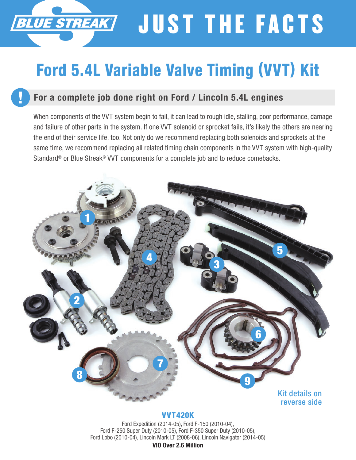## JUST THE FACTS **BLUE STREAK**

## Ford 5.4L Variable Valve Timing (VVT) Kit

## For a complete job done right on Ford / Lincoln 5.4L engines

When components of the VVT system begin to fail, it can lead to rough idle, stalling, poor performance, damage and failure of other parts in the system. If one VVT solenoid or sprocket fails, it's likely the others are nearing the end of their service life, too. Not only do we recommend replacing both solenoids and sprockets at the same time, we recommend replacing all related timing chain components in the VVT system with high-quality Standard® or Blue Streak® VVT components for a complete job and to reduce comebacks.



#### VVT420K

Ford Expedition (2014-05), Ford F-150 (2010-04), Ford F-250 Super Duty (2010-05), Ford F-350 Super Duty (2010-05), Ford Lobo (2010-04), Lincoln Mark LT (2008-06), Lincoln Navigator (2014-05)

VIO Over 2.6 Million